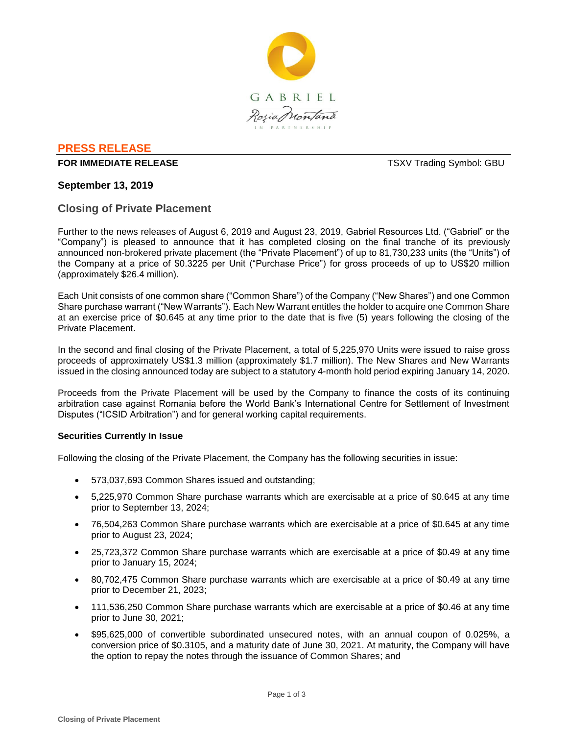

## **PRESS RELEASE**

### **FOR IMMEDIATE RELEASE TSXV Trading Symbol: GBU**

### **September 13, 2019**

## **Closing of Private Placement**

Further to the news releases of August 6, 2019 and August 23, 2019, Gabriel Resources Ltd. ("Gabriel" or the "Company") is pleased to announce that it has completed closing on the final tranche of its previously announced non-brokered private placement (the "Private Placement") of up to 81,730,233 units (the "Units") of the Company at a price of \$0.3225 per Unit ("Purchase Price") for gross proceeds of up to US\$20 million (approximately \$26.4 million).

Each Unit consists of one common share ("Common Share") of the Company ("New Shares") and one Common Share purchase warrant ("New Warrants"). Each New Warrant entitles the holder to acquire one Common Share at an exercise price of \$0.645 at any time prior to the date that is five (5) years following the closing of the Private Placement.

In the second and final closing of the Private Placement, a total of 5,225,970 Units were issued to raise gross proceeds of approximately US\$1.3 million (approximately \$1.7 million). The New Shares and New Warrants issued in the closing announced today are subject to a statutory 4-month hold period expiring January 14, 2020.

Proceeds from the Private Placement will be used by the Company to finance the costs of its continuing arbitration case against Romania before the World Bank's International Centre for Settlement of Investment Disputes ("ICSID Arbitration") and for general working capital requirements.

#### **Securities Currently In Issue**

Following the closing of the Private Placement, the Company has the following securities in issue:

- 573,037,693 Common Shares issued and outstanding;
- 5,225,970 Common Share purchase warrants which are exercisable at a price of \$0.645 at any time prior to September 13, 2024;
- 76,504,263 Common Share purchase warrants which are exercisable at a price of \$0.645 at any time prior to August 23, 2024;
- 25,723,372 Common Share purchase warrants which are exercisable at a price of \$0.49 at any time prior to January 15, 2024;
- 80,702,475 Common Share purchase warrants which are exercisable at a price of \$0.49 at any time prior to December 21, 2023;
- 111,536,250 Common Share purchase warrants which are exercisable at a price of \$0.46 at any time prior to June 30, 2021;
- \$95,625,000 of convertible subordinated unsecured notes, with an annual coupon of 0.025%, a conversion price of \$0.3105, and a maturity date of June 30, 2021. At maturity, the Company will have the option to repay the notes through the issuance of Common Shares; and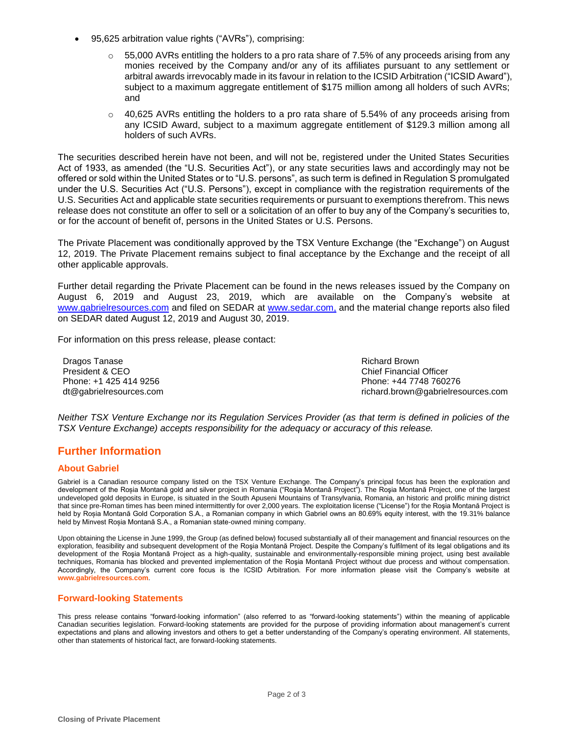- 95,625 arbitration value rights ("AVRs"), comprising:
	- 55,000 AVRs entitling the holders to a pro rata share of 7.5% of any proceeds arising from any monies received by the Company and/or any of its affiliates pursuant to any settlement or arbitral awards irrevocably made in its favour in relation to the ICSID Arbitration ("ICSID Award"), subject to a maximum aggregate entitlement of \$175 million among all holders of such AVRs; and
	- 40,625 AVRs entitling the holders to a pro rata share of 5.54% of any proceeds arising from any ICSID Award, subject to a maximum aggregate entitlement of \$129.3 million among all holders of such AVRs.

The securities described herein have not been, and will not be, registered under the United States Securities Act of 1933, as amended (the "U.S. Securities Act"), or any state securities laws and accordingly may not be offered or sold within the United States or to "U.S. persons", as such term is defined in Regulation S promulgated under the U.S. Securities Act ("U.S. Persons"), except in compliance with the registration requirements of the U.S. Securities Act and applicable state securities requirements or pursuant to exemptions therefrom. This news release does not constitute an offer to sell or a solicitation of an offer to buy any of the Company's securities to, or for the account of benefit of, persons in the United States or U.S. Persons.

The Private Placement was conditionally approved by the TSX Venture Exchange (the "Exchange") on August 12, 2019. The Private Placement remains subject to final acceptance by the Exchange and the receipt of all other applicable approvals.

Further detail regarding the Private Placement can be found in the news releases issued by the Company on August 6, 2019 and August 23, 2019, which are available on the Company's website at www.gabrielresources.com and filed on SEDAR at www.sedar.com, and the material change reports also filed on SEDAR dated August 12, 2019 and August 30, 2019.

For information on this press release, please contact:

Dragos Tanase President & CEO Phone: +1 425 414 9256 dt@gabrielresources.com Richard Brown Chief Financial Officer Phone: +44 7748 760276 richard.brown@gabrielresources.com

*Neither TSX Venture Exchange nor its Regulation Services Provider (as that term is defined in policies of the TSX Venture Exchange) accepts responsibility for the adequacy or accuracy of this release.*

# **Further Information**

#### **About Gabriel**

Gabriel is a Canadian resource company listed on the TSX Venture Exchange. The Company's principal focus has been the exploration and development of the Roșia Montană gold and silver project in Romania ("Roşia Montană Project"). The Roşia Montană Project, one of the largest undeveloped gold deposits in Europe, is situated in the South Apuseni Mountains of Transylvania, Romania, an historic and prolific mining district that since pre-Roman times has been mined intermittently for over 2,000 years. The exploitation license ("License") for the Roşia Montană Project is held by Roșia Montană Gold Corporation S.A., a Romanian company in which Gabriel owns an 80.69% equity interest, with the 19.31% balance held by Minvest Roșia Montană S.A., a Romanian state-owned mining company.

Upon obtaining the License in June 1999, the Group (as defined below) focused substantially all of their management and financial resources on the exploration, feasibility and subsequent development of the Roşia Montană Project. Despite the Company's fulfilment of its legal obligations and its development of the Rosia Montană Project as a high-quality, sustainable and environmentally-responsible mining project, using best available techniques, Romania has blocked and prevented implementation of the Roşia Montană Project without due process and without compensation. Accordingly, the Company's current core focus is the ICSID Arbitration. For more information please visit the Company's website at **www.gabrielresources.com**.

#### **Forward-looking Statements**

This press release contains "forward-looking information" (also referred to as "forward-looking statements") within the meaning of applicable Canadian securities legislation. Forward-looking statements are provided for the purpose of providing information about management's current expectations and plans and allowing investors and others to get a better understanding of the Company's operating environment. All statements, other than statements of historical fact, are forward-looking statements.